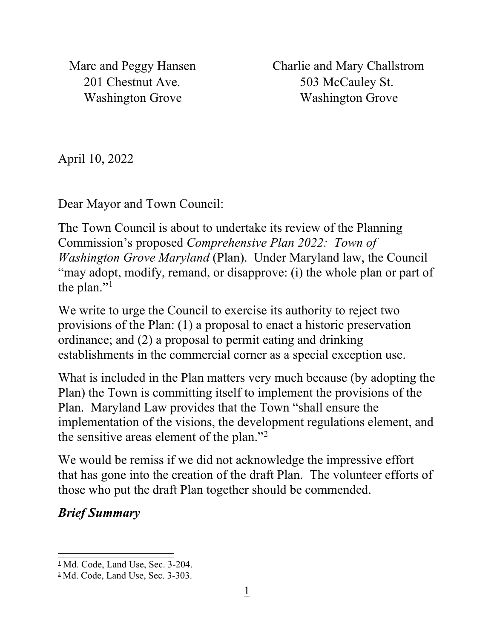Marc and Peggy Hansen Charlie and Mary Challstrom 201 Chestnut Ave. 503 McCauley St. Washington Grove Washington Grove

April 10, 2022

Dear Mayor and Town Council:

The Town Council is about to undertake its review of the Planning Commission's proposed *Comprehensive Plan 2022: Town of Washington Grove Maryland* (Plan). Under Maryland law, the Council "may adopt, modify, remand, or disapprove: (i) the whole plan or part of the plan."<sup>[1](#page-0-0)</sup>

We write to urge the Council to exercise its authority to reject two provisions of the Plan: (1) a proposal to enact a historic preservation ordinance; and (2) a proposal to permit eating and drinking establishments in the commercial corner as a special exception use.

What is included in the Plan matters very much because (by adopting the Plan) the Town is committing itself to implement the provisions of the Plan. Maryland Law provides that the Town "shall ensure the implementation of the visions, the development regulations element, and the sensitive areas element of the plan."[2](#page-0-1)

We would be remiss if we did not acknowledge the impressive effort that has gone into the creation of the draft Plan. The volunteer efforts of those who put the draft Plan together should be commended.

## *Brief Summary*

<span id="page-0-0"></span> $\frac{1}{2}$  Md. Code, Land Use, Sec. 3-204.

<span id="page-0-1"></span><sup>2</sup> Md. Code, Land Use, Sec. 3-303.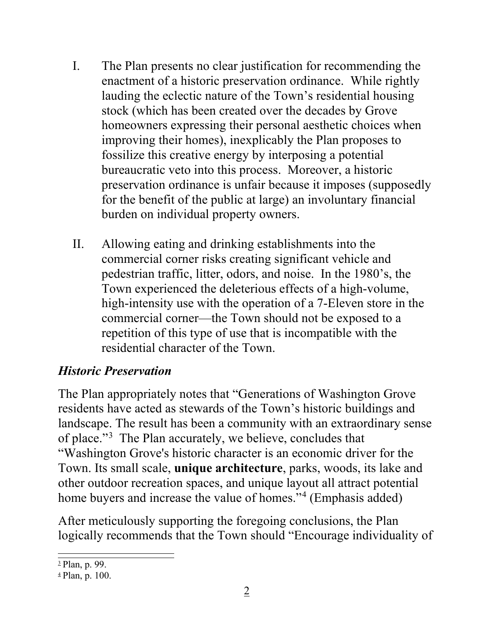- I. The Plan presents no clear justification for recommending the enactment of a historic preservation ordinance. While rightly lauding the eclectic nature of the Town's residential housing stock (which has been created over the decades by Grove homeowners expressing their personal aesthetic choices when improving their homes), inexplicably the Plan proposes to fossilize this creative energy by interposing a potential bureaucratic veto into this process. Moreover, a historic preservation ordinance is unfair because it imposes (supposedly for the benefit of the public at large) an involuntary financial burden on individual property owners.
- II. Allowing eating and drinking establishments into the commercial corner risks creating significant vehicle and pedestrian traffic, litter, odors, and noise. In the 1980's, the Town experienced the deleterious effects of a high-volume, high-intensity use with the operation of a 7-Eleven store in the commercial corner—the Town should not be exposed to a repetition of this type of use that is incompatible with the residential character of the Town.

## *Historic Preservation*

The Plan appropriately notes that "Generations of Washington Grove residents have acted as stewards of the Town's historic buildings and landscape. The result has been a community with an extraordinary sense of place."[3](#page-1-0) The Plan accurately, we believe, concludes that "Washington Grove's historic character is an economic driver for the Town. Its small scale, **unique architecture**, parks, woods, its lake and other outdoor recreation spaces, and unique layout all attract potential home buyers and increase the value of homes."<sup>[4](#page-1-1)</sup> (Emphasis added)

After meticulously supporting the foregoing conclusions, the Plan logically recommends that the Town should "Encourage individuality of

<span id="page-1-0"></span><sup>3</sup> Plan, p. 99.

<span id="page-1-1"></span> $\frac{4}{7}$  Plan, p. 100.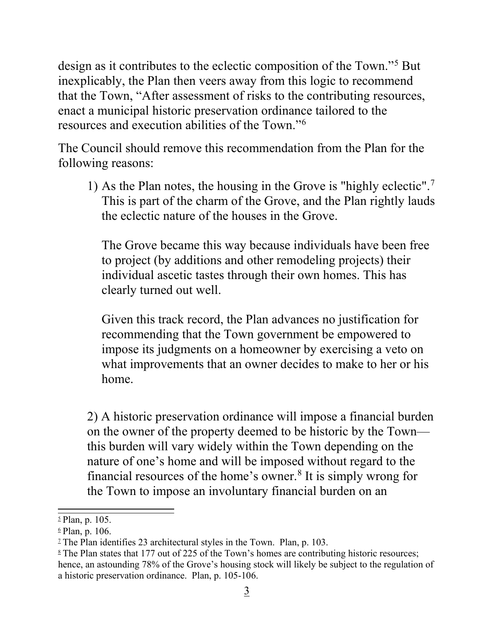design as it contributes to the eclectic composition of the Town."<sup>[5](#page-2-0)</sup> But inexplicably, the Plan then veers away from this logic to recommend that the Town, "After assessment of risks to the contributing resources, enact a municipal historic preservation ordinance tailored to the resources and execution abilities of the Town."[6](#page-2-1)

The Council should remove this recommendation from the Plan for the following reasons:

1) As the Plan notes, the housing in the Grove is "highly eclectic".[7](#page-2-2) This is part of the charm of the Grove, and the Plan rightly lauds the eclectic nature of the houses in the Grove.

The Grove became this way because individuals have been free to project (by additions and other remodeling projects) their individual ascetic tastes through their own homes. This has clearly turned out well.

Given this track record, the Plan advances no justification for recommending that the Town government be empowered to impose its judgments on a homeowner by exercising a veto on what improvements that an owner decides to make to her or his home.

2) A historic preservation ordinance will impose a financial burden on the owner of the property deemed to be historic by the Town this burden will vary widely within the Town depending on the nature of one's home and will be imposed without regard to the financial resources of the home's owner. [8](#page-2-3) It is simply wrong for the Town to impose an involuntary financial burden on an

<span id="page-2-0"></span><sup>5</sup> Plan, p. 105.

<span id="page-2-1"></span> $6$  Plan, p. 106.

<span id="page-2-3"></span><span id="page-2-2"></span><sup>&</sup>lt;sup>2</sup> The Plan identifies 23 architectural styles in the Town. Plan, p. 103.<br><sup>8</sup> The Plan states that 177 out of 225 of the Town's homes are contributing historic resources; hence, an astounding 78% of the Grove's housing stock will likely be subject to the regulation of a historic preservation ordinance. Plan, p. 105-106.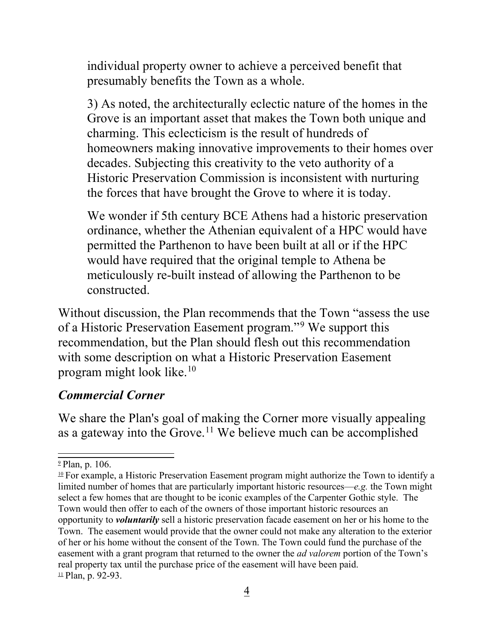individual property owner to achieve a perceived benefit that presumably benefits the Town as a whole.

3) As noted, the architecturally eclectic nature of the homes in the Grove is an important asset that makes the Town both unique and charming. This eclecticism is the result of hundreds of homeowners making innovative improvements to their homes over decades. Subjecting this creativity to the veto authority of a Historic Preservation Commission is inconsistent with nurturing the forces that have brought the Grove to where it is today.

We wonder if 5th century BCE Athens had a historic preservation ordinance, whether the Athenian equivalent of a HPC would have permitted the Parthenon to have been built at all or if the HPC would have required that the original temple to Athena be meticulously re-built instead of allowing the Parthenon to be constructed.

Without discussion, the Plan recommends that the Town "assess the use of a Historic Preservation Easement program."[9](#page-3-0) We support this recommendation, but the Plan should flesh out this recommendation with some description on what a Historic Preservation Easement program might look like.[10](#page-3-1)

## *Commercial Corner*

We share the Plan's goal of making the Corner more visually appealing as a gateway into the Grove.<sup>[11](#page-3-2)</sup> We believe much can be accomplished

<span id="page-3-0"></span><sup>&</sup>lt;sup>2</sup> Plan, p. 106.

<span id="page-3-2"></span><span id="page-3-1"></span> $10$  For example, a Historic Preservation Easement program might authorize the Town to identify a limited number of homes that are particularly important historic resources—*e.g.* the Town might select a few homes that are thought to be iconic examples of the Carpenter Gothic style. The Town would then offer to each of the owners of those important historic resources an opportunity to *voluntarily* sell a historic preservation facade easement on her or his home to the Town. The easement would provide that the owner could not make any alteration to the exterior of her or his home without the consent of the Town. The Town could fund the purchase of the easement with a grant program that returned to the owner the *ad valorem* portion of the Town's real property tax until the purchase price of the easement will have been paid.  $\perp$  Plan, p. 92-93.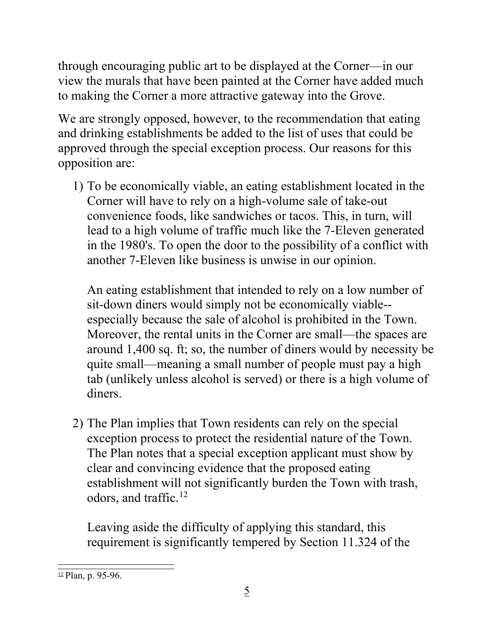through encouraging public art to be displayed at the Corner—in our view the murals that have been painted at the Corner have added much to making the Corner a more attractive gateway into the Grove.

We are strongly opposed, however, to the recommendation that eating and drinking establishments be added to the list of uses that could be approved through the special exception process. Our reasons for this opposition are:

1) To be economically viable, an eating establishment located in the Corner will have to rely on a high-volume sale of take-out convenience foods, like sandwiches or tacos. This, in turn, will lead to a high volume of traffic much like the 7-Eleven generated in the 1980's. To open the door to the possibility of a conflict with another 7-Eleven like business is unwise in our opinion.

An eating establishment that intended to rely on a low number of sit-down diners would simply not be economically viable- especially because the sale of alcohol is prohibited in the Town. Moreover, the rental units in the Corner are small—the spaces are around 1,400 sq. ft; so, the number of diners would by necessity be quite small—meaning a small number of people must pay a high tab (unlikely unless alcohol is served) or there is a high volume of diners.

2) The Plan implies that Town residents can rely on the special exception process to protect the residential nature of the Town. The Plan notes that a special exception applicant must show by clear and convincing evidence that the proposed eating establishment will not significantly burden the Town with trash, odors, and traffic.[12](#page-4-0) 

Leaving aside the difficulty of applying this standard, this requirement is significantly tempered by Section 11.324 of the

<span id="page-4-0"></span> $12$  Plan, p. 95-96.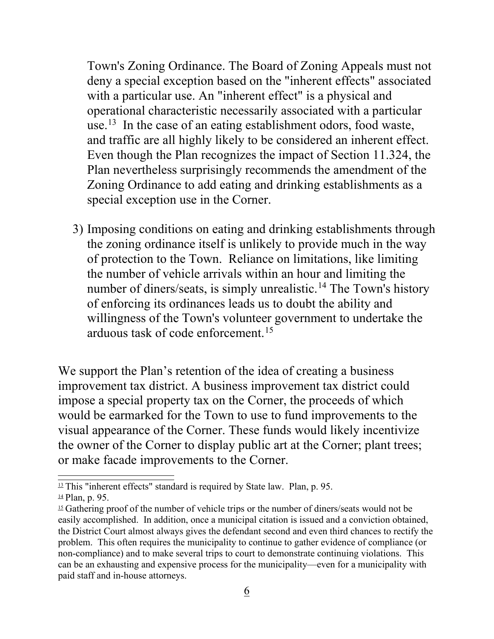Town's Zoning Ordinance. The Board of Zoning Appeals must not deny a special exception based on the "inherent effects" associated with a particular use. An "inherent effect" is a physical and operational characteristic necessarily associated with a particular use.<sup>[13](#page-5-0)</sup> In the case of an eating establishment odors, food waste, and traffic are all highly likely to be considered an inherent effect. Even though the Plan recognizes the impact of Section 11.324, the Plan nevertheless surprisingly recommends the amendment of the Zoning Ordinance to add eating and drinking establishments as a special exception use in the Corner.

3) Imposing conditions on eating and drinking establishments through the zoning ordinance itself is unlikely to provide much in the way of protection to the Town. Reliance on limitations, like limiting the number of vehicle arrivals within an hour and limiting the number of diners/seats, is simply unrealistic.<sup>14</sup> The Town's history of enforcing its ordinances leads us to doubt the ability and willingness of the Town's volunteer government to undertake the arduous task of code enforcement.[15](#page-5-2)

We support the Plan's retention of the idea of creating a business improvement tax district. A business improvement tax district could impose a special property tax on the Corner, the proceeds of which would be earmarked for the Town to use to fund improvements to the visual appearance of the Corner. These funds would likely incentivize the owner of the Corner to display public art at the Corner; plant trees; or make facade improvements to the Corner.

<span id="page-5-1"></span><span id="page-5-0"></span> $13$  This "inherent effects" standard is required by State law. Plan, p. 95.  $\frac{14}{9}$  Plan, p. 95.

<span id="page-5-2"></span> $15$  Gathering proof of the number of vehicle trips or the number of diners/seats would not be easily accomplished. In addition, once a municipal citation is issued and a conviction obtained, the District Court almost always gives the defendant second and even third chances to rectify the problem. This often requires the municipality to continue to gather evidence of compliance (or non-compliance) and to make several trips to court to demonstrate continuing violations. This can be an exhausting and expensive process for the municipality—even for a municipality with paid staff and in-house attorneys.